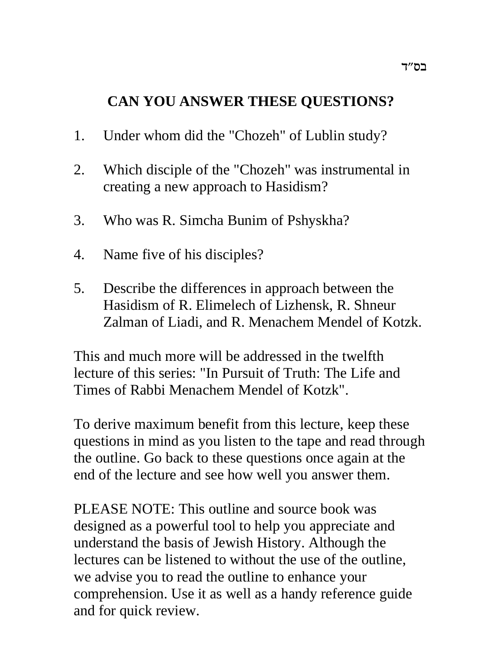# **CAN YOU ANSWER THESE QUESTIONS?**

- 1. Under whom did the "Chozeh" of Lublin study?
- 2. Which disciple of the "Chozeh" was instrumental in creating a new approach to Hasidism?
- 3. Who was R. Simcha Bunim of Pshyskha?
- 4. Name five of his disciples?
- 5. Describe the differences in approach between the Hasidism of R. Elimelech of Lizhensk, R. Shneur Zalman of Liadi, and R. Menachem Mendel of Kotzk.

This and much more will be addressed in the twelfth lecture of this series: "In Pursuit of Truth: The Life and Times of Rabbi Menachem Mendel of Kotzk".

To derive maximum benefit from this lecture, keep these questions in mind as you listen to the tape and read through the outline. Go back to these questions once again at the end of the lecture and see how well you answer them.

PLEASE NOTE: This outline and source book was designed as a powerful tool to help you appreciate and understand the basis of Jewish History. Although the lectures can be listened to without the use of the outline, we advise you to read the outline to enhance your comprehension. Use it as well as a handy reference guide and for quick review.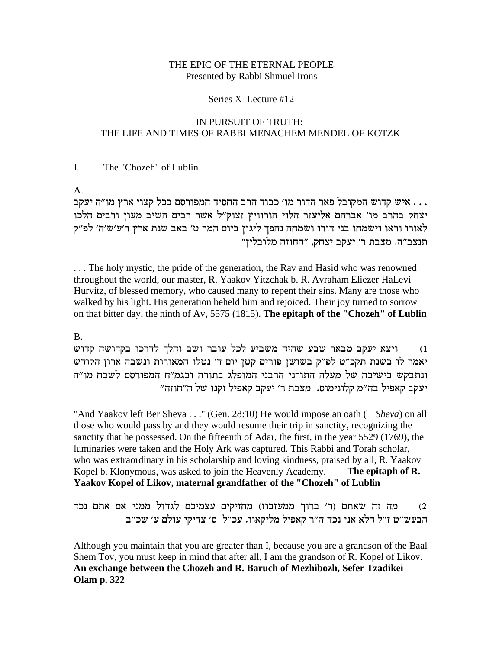#### THE EPIC OF THE ETERNAL PEOPLE Presented by Rabbi Shmuel Irons

#### Series X Lecture #12

### IN PURSUIT OF TRUTH: THE LIFE AND TIMES OF RABBI MENACHEM MENDEL OF KOTZK

#### The "Chozeh" of Lublin  $\mathbf{I}$ .

 $A<sub>1</sub>$ 

... איש קדוש המקובל פאר הדור מו' כבוד הרב החסיד המפורסם בכל קצוי ארץ מו"ה יעקב יצחק בהרב מו' אברהם אליעזר הלוי הורוויץ זצוק"ל אשר רבים השיב מעון ורבים הלכו לאורו וראו וישמחו בני דורו ושמחה נהפך ליגון ביום המר ט׳ באב שנת ארץ ר׳ע׳ש׳ה׳ לפ״ק תנצב"ה. מצבת ר' יעקב יצחק, "החוזה מלובלין"

... The holy mystic, the pride of the generation, the Rav and Hasid who was renowned throughout the world, our master, R. Yaakov Yitzchak b. R. Avraham Eliezer HaLevi Hurvitz, of blessed memory, who caused many to repent their sins. Many are those who walked by his light. His generation beheld him and rejoiced. Their joy turned to sorrow on that bitter day, the ninth of Av, 5575 (1815). The epitaph of the "Chozeh" of Lublin

# $\mathbf{B}$

ויצא יעקב מבאר שבע שהיה משביע לכל עובר ושב והלך לדרכו בקדושה קדוש  $(1)$ יאמר לו בשנת תקכ"ט לפ"ק בשושן פורים קטן יום ד' נטלו המאורות ונשבה ארון הקודש ונתבקש בישיבה של מעלה התורני הרבני המופלג בתורה ובגמ"ח המפורסם לשבח מו"ה יעקב קאפיל בה"מ קלונימוס. מצבת ר' יעקב קאפיל זקנו של ה"חוזה"

"And Yaakov left Ber Sheva . . ." (Gen. 28:10) He would impose an oath (Sheva) on all those who would pass by and they would resume their trip in sanctity, recognizing the sanctity that he possessed. On the fifteenth of Adar, the first, in the year 5529 (1769), the luminaries were taken and the Holy Ark was captured. This Rabbi and Torah scholar, who was extraordinary in his scholarship and loving kindness, praised by all, R. Yaakov Kopel b. Klonymous, was asked to join the Heavenly Academy. The epitaph of R. Yaakov Kopel of Likov, maternal grandfather of the "Chozeh" of Lublin

מה זה שאתם (ר' ברוך ממעזבוז) מחזיקים עצמיכם לגדול ממני אם אתם נכד  $(2)$ הבעש"ט ז"ל הלא אני נכד ה"ר קאפיל מליקאוו. עכ"ל ס' צדיקי עולם ע' שכ"ב

Although you maintain that you are greater than I, because you are a grandson of the Baal Shem Tov, you must keep in mind that after all, I am the grandson of R. Kopel of Likov. An exchange between the Chozeh and R. Baruch of Mezhibozh, Sefer Tzadikei Olam p. 322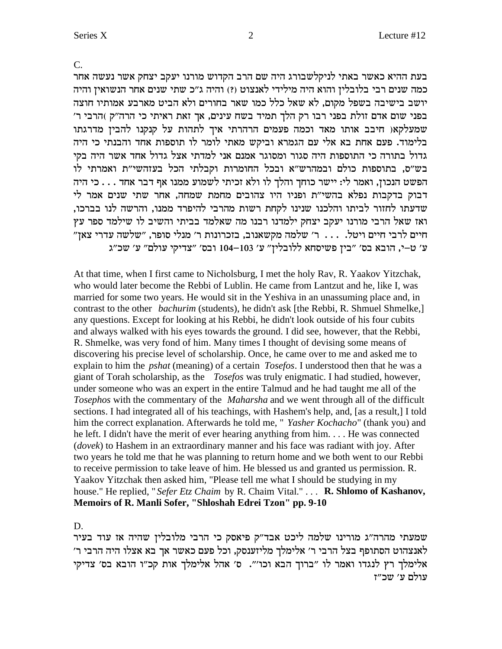$\overline{C}$ .

בעת ההיא כאשר באתי לניקלשבורג היה שם הרב הקדוש מורנו יעקב יצחק אשר נעשה אחר כמה שנים רבי בלובלין והוא היה מילידי לאנצוט (?) והיה ג"כ שתי שנים אחר הנשואין והיה יושב בישיבה בשפל מקום, לא שאל כלל כמו שאר בחורים ולא הביט מארבע אמותיו חוצה בפני שום אדם זולת בפני רבו רק הלך תמיד בשח עינים, אך זאת ראיתי כי הרה"ק )הרבי ר' שמעלקאו חיבב אותו מאד וכמה פעמים הרהרתי איך לתהות על קנקנו להבין מדרגתו בלימוד. פעם אחת בא אלי עם הגמרא וביקש מאתי לומר לו תוספות אחד והבנתי כי היה גדול בתורה כי התוספות היה סגור ומסוגר אמנם אני למדתי אצל גדול אחד אשר היה בקי בש"ס, בתוספות כולם ובמהרש"א ובכל החומרות וקבלתי הכל בעזהשי"ת ואמרתי לו הפשט הנכון, ואמר לי: יישר כוחך והלך לו ולא זכיתי לשמוע ממנו אף דבר אחד . . . כי היה דבוק בדקבות נפלא בהשי״ת ופניו היו צהובים מחמת שמחה, אחר שתי שנים אמר לי שדעתו לחזור לביתו והלכנו שנינו לקחת רשות מהרבי להיפרד ממנו, והרשה לנו בברכו, ואז שאל הרבי מורנו יעקב יצחק ילמדנו רבנו מה שאלמד בביתי והשיב לו שילמד ספר עץ חיים לרבי חיים ויטל. ... ר׳ שלמה מקשאנוב, בזכרונות ר׳ מנלי סופר, "שלשה עדרי צאן" ע' ט-י, הובא בס' "בין פשיסחא ללובלין" ע' 103–104 ובס' "צדיקי עולם" ע' שכ"ג

At that time, when I first came to Nicholsburg, I met the holy Rav, R. Yaakov Yitzchak, who would later become the Rebbi of Lublin. He came from Lantzut and he, like I, was married for some two years. He would sit in the Yeshiva in an unassuming place and, in contrast to the other *bachurim* (students), he didn't ask [the Rebbi, R. Shmuel Shmelke,] any questions. Except for looking at his Rebbi, he didn't look outside of his four cubits and always walked with his eyes towards the ground. I did see, however, that the Rebbi, R. Shmelke, was very fond of him. Many times I thought of devising some means of discovering his precise level of scholarship. Once, he came over to me and asked me to explain to him the *pshat* (meaning) of a certain *Tosefos*. I understood then that he was a giant of Torah scholarship, as the *Tosefos* was truly enigmatic. I had studied, however, under someone who was an expert in the entire Talmud and he had taught me all of the Tosephos with the commentary of the Maharsha and we went through all of the difficult sections. I had integrated all of his teachings, with Hashem's help, and, [as a result,] I told him the correct explanation. Afterwards he told me, " Yasher Kochacho" (thank you) and he left. I didn't have the merit of ever hearing anything from him.... He was connected (dovek) to Hashem in an extraordinary manner and his face was radiant with joy. After two years he told me that he was planning to return home and we both went to our Rebbi to receive permission to take leave of him. He blessed us and granted us permission. R. Yaakov Yitzchak then asked him, "Please tell me what I should be studying in my house." He replied, "Sefer Etz Chaim by R. Chaim Vital." . . . R. Shlomo of Kashanov, Memoirs of R. Manli Sofer, "Shloshah Edrei Tzon" pp. 9-10

D.

שמעתי מהרה"ג מורינו שלמה ליכט אבד"ק פיאסק כי הרבי מלובלין שהיה אז עוד בעיר לאנצהוט הסתופף בצל הרבי ר׳ אלימלך מליזענסק, וכל פעם כאשר אך בא אצלו היה הרבי ר׳ אלימלך רץ לנגדו ואמר לו "ברוך הבא וכו'". ס' אהל אלימלך אות קכ"ו הובא בס' צדיקי עולם ע׳ שכ״ז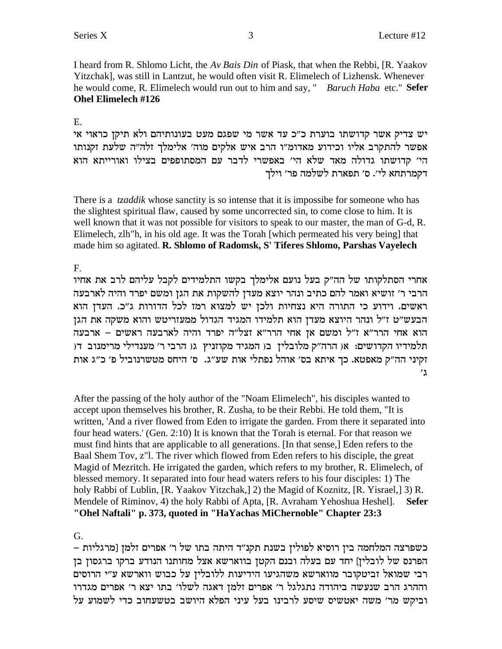I heard from R. Shlomo Licht, the Av Bais Din of Piask, that when the Rebbi, [R. Yaakov Yitzchak], was still in Lantzut, he would often visit R. Elimelech of Lizhensk. Whenever he would come, R. Elimelech would run out to him and say, " *Baruch Haba* etc." **Sefer Ohel Elimelech #126** 

# $E.$

יש צדיק אשר קדושתו בוערת כ"כ עד אשר מי שפגם מעט בעונותיהם ולא תיקן כראוי אי אפשר להתקרב אליו וכידוע מאדומ"ו הרב איש אלקים מוה' אלימלך זלה"ה שלעת זקנותו הי' קדושתו גדולה מאד שלא הי' באפשרי לדבר עם המסתופפים בצילו ואורייתא הוא דקמרתחא לי׳. ס׳ תפארת לשלמה פר׳ וילך

There is a *tzaddik* whose sanctity is so intense that it is impossibe for someone who has the slightest spiritual flaw, caused by some uncorrected sin, to come close to him. It is well known that it was not possible for visitors to speak to our master, the man of G-d, R. Elimelech, zlh "h, in his old age. It was the Torah [which permeated his very being] that made him so agitated. R. Shlomo of Radomsk, S' Tiferes Shlomo, Parshas Vayelech

 $F_{\perp}$ 

אחרי הסתלקותו של הה"ק בעל נועם אלימלך בקשו התלמידים לקבל עליהם לרב את אחיו הרבי ר׳ זושיא ואמר להם כתיב ונהר יוצא מעדן להשקות את הגן ומשם יפרד והיה לארבעה ראשים. וידוע כי התורה היא נצחיות ולכן יש למצוא רמז לכל הדורות ג"כ. העדן הוא הבעש"ט ז"ל ונהר היוצא מעדן הוא תלמידו המגיד הגדול ממעזריטש והוא משקה את הגן הוא אחי הרר"א ז"ל ומשם אן אחי הרר"א זצל"ה יפרד והיה לארבעה ראשים – ארבעה תלמידיו הקדושים: או הרה"ק מלובלין בו המגיד מקוזניץ גו הרבי ר' מענדילי מרימנוב דו זקיני הה"ק מאפטא. כך איתא בס׳ אוהל נפתלי אות שע"ג. ס׳ היחס מטשרנוביל פ׳ כ"ג אות  $^{\prime}$  1

After the passing of the holy author of the "Noam Elimelech", his disciples wanted to accept upon themselves his brother, R. Zusha, to be their Rebbi. He told them, "It is written, 'And a river flowed from Eden to irrigate the garden. From there it separated into four head waters.' (Gen. 2:10) It is known that the Torah is eternal. For that reason we must find hints that are applicable to all generations. [In that sense,] Eden refers to the Baal Shem Tov, z"I. The river which flowed from Eden refers to his disciple, the great Magid of Mezritch. He irrigated the garden, which refers to my brother, R. Elimelech, of blessed memory. It separated into four head waters refers to his four disciples: 1) The holy Rabbi of Lublin, [R. Yaakov Yitzchak,] 2) the Magid of Koznitz, [R. Yisrael,] 3) R. Mendele of Riminov, 4) the holy Rabbi of Apta, [R. Avraham Yehoshua Heshel]. **Sefer** "Ohel Naftali" p. 373, quoted in "HaYachas MiChernoble" Chapter 23:3

 $G<sub>r</sub>$ 

כשפרצה המלחמה בין רוסיא לפולין בשנת תקנ״ד היתה בתו של ר׳ אפרים זלמן [מרגליות – הפרנס של לובלין] יחד עם בעלה ובנם הקטן בווארשא אצל מחותנו הנודע ברקו ברגסון בן רבי שמואל זביטקובר מווארשא משהגיעו הידיעות ללובלין על כבוש ווארשא ע"י הרוסים וההרג הרב שנעשה ביהודה נתגלגל ר׳ אפרים זלמן דאגה לשלו׳ בתו יצא ר׳ אפרים מגדרו וביקש מר' משה יאטשיס שיסע לרבינו בעל עיני הפלא היושב בטשעחוב כדי לשמוע על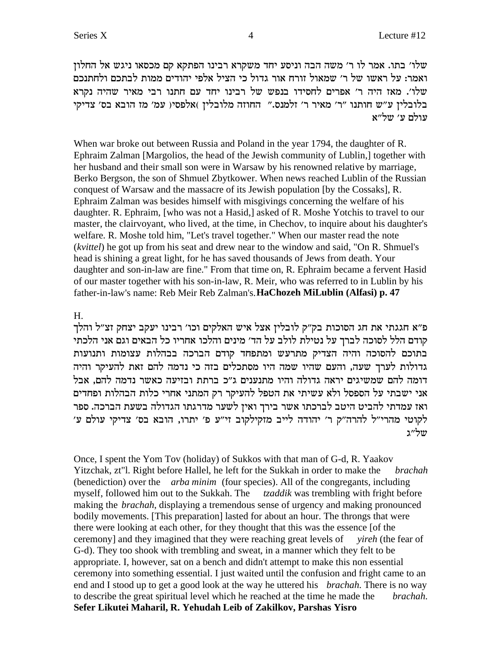שלו׳ בתו. אמר לו ר׳ משה הבה וניסע יחד משקרא רבינו הפתקא קם מכסאו ניגש אל החלון ואמר: על ראשו של ר' שמאול זורח אור גדול כי הציל אלפי יהודים ממות לבתכם ולחתנכם לו'. מאז היה ר' אפרים לחסידו בנפש של רבינו יחד עם חתנו רבי מאיר שהיה נקרא  $\omega$ בלובלין ע"ש חותנו "ר' מאיר ר' זלמנס." החוזה מלובלין )אלפסי( עמ' מז הובא בס' צדיקי עולם ע' של"א

When war broke out between Russia and Poland in the year 1794, the daughter of R. Ephraim Zalman [Margolios, the head of the Jewish community of Lublin,] together with her husband and their small son were in Warsaw by his renowned relative by marriage, Berko Bergson, the son of Shmuel Zbytkower. When news reached Lublin of the Russian conquest of Warsaw and the massacre of its Jewish population [by the Cossaks], R. Ephraim Zalman was besides himself with misgivings concerning the welfare of his daughter. R. Ephraim, [who was not a Hasid,] asked of R. Moshe Yotchis to travel to our master, the clairvoyant, who lived, at the time, in Chechov, to inquire about his daughter's welfare. R. Moshe told him, "Let's travel together." When our master read the note (*kvittel*) he got up from his seat and drew near to the window and said, "On R. Shmuel's head is shining a great light, for he has saved thousands of Jews from death. Your daughter and son-in-law are fine." From that time on, R. Ephraim became a fervent Hasid of our master together with his son-in-law, R. Meir, who was referred to in Lublin by his father-in-law's name: Reb Meir Reb Zalman's.**HaChozeh MiLublin (Alfasi) p. 47**

### H.

פ״א חגגתי את חג הסוכות בק״ק לובלין אצל איש האלקים וכו׳ רבינו יעקב יצחק זצ״ל והלך קודם הלל לסוכה לברך על נטילת לולב על הד׳ מינים והלכו אחריו כל הבאים וגם אני הלכתי בתוכם להסוכה והיה הצדיק מתרעש ומתפחד קודם הברכה בבהלות עצומות ותנועות גדולות לערך שעה, והעם שהיו שמה היו מסתכלים בזה כי נדמה להם זאת להעיקר והיה דומה להם שמשיגים יראה גדולה והיו מתנענים ג״כ ברתת ובזיעה כאשר נדמה להם. אבל אני ישבתי על הספסל ולא עשיתי את הטפל להעיקר רק המתני אחרי כלות הבהלות ופחדים ואז עמדתי להביט היטב לברכתו אשר בירך ואין לשער מדרגתו הגדולה בשעת הברכה. ספר לקוטי מהרי״ל להרה״ק ר׳ יהודה לייב מזקילקוב זי״ע פ׳ יתרו, הובא בס׳ צדיקי עולם ע׳ של״ג

Once, I spent the Yom Tov (holiday) of Sukkos with that man of G-d, R. Yaakov Yitzchak, zt"l. Right before Hallel, he left for the Sukkah in order to make the *brachah* (benediction) over the *arba minim* (four species). All of the congregants, including myself, followed him out to the Sukkah. The *tzaddik* was trembling with fright before making the *brachah*, displaying a tremendous sense of urgency and making pronounced bodily movements. [This preparation] lasted for about an hour. The throngs that were there were looking at each other, for they thought that this was the essence [of the ceremony] and they imagined that they were reaching great levels of *yireh* (the fear of G-d). They too shook with trembling and sweat, in a manner which they felt to be appropriate. I, however, sat on a bench and didn't attempt to make this non essential ceremony into something essential. I just waited until the confusion and fright came to an end and I stood up to get a good look at the way he uttered his *brachah*. There is no way to describe the great spiritual level which he reached at the time he made the *brachah*. **Sefer Likutei Maharil, R. Yehudah Leib of Zakilkov, Parshas Yisro**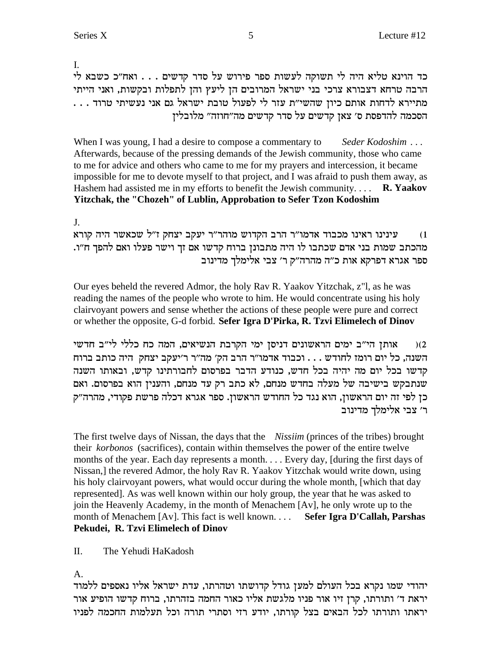L. כד הוינא טליא היה לי תשוקה לעשות ספר פירוש על סדר קדשים . . . ואח"כ כשבא לי הרבה טרחא דצבורא צרכי בני ישראל המרובים הן ליעץ והן לתפלות ובקשות, ואני הייתי הסכמה להדפסת ס׳ צאן קדשים על סדר קדשים מה״חוזה״ מלובלין

When I was young, I had a desire to compose a commentary to Seder Kodoshim ... Afterwards, because of the pressing demands of the Jewish community, those who came to me for advice and others who came to me for my prayers and intercession, it became impossible for me to devote myself to that project, and I was afraid to push them away, as Hashem had assisted me in my efforts to benefit the Jewish community....  $\mathbf{R}$ . Yaakov Yitzchak, the "Chozeh" of Lublin, Approbation to Sefer Tzon Kodoshim

# $\mathbf{I}$

עינינו ראינו מכבוד אדמו"ר הרב הקדוש מוהר"ר יעקב יצחק ז"ל שכאשר היה קורא  $(1)$ מהכתב שמות בני אדם שכתבו לו היה מתבונן ברוח קדשו אם זך וישר פעלו ואם להפך ח"ו. ספר אגרא דפרקא אות כ"ה מהרה"ק ר' צבי אלימלך מדינוב

Our eyes beheld the revered Admor, the holy Rav R. Yaakov Yitzchak, z"l, as he was reading the names of the people who wrote to him. He would concentrate using his holy clairvoyant powers and sense whether the actions of these people were pure and correct or whether the opposite, G-d forbid. Sefer Igra D'Pirka, R. Tzvi Elimelech of Dinov

אותן הי״ב ימים הראשונים דניסן ימי הקרבת הנשיאים, המה כח כללי לי״ב חדשי  $(2)$ השנה, כל יום רומז לחודש . . . וכבוד אדמו"ר הרב הק' מה"ר ר'יעקב יצחק היה כותב ברוח קדשו בכל יום מה יהיה בכל חדש, כנודע הדבר בפרסום לחבורתינו קדש, ובאותו השנה שנתבקש בישיבה של מעלה בחדש מנחם, לא כתב רק עד מנחם, והענין הוא בפרסום. ואם כן לפי זה יום הראשון, הוא נגד כל החודש הראשון. ספר אגרא דכלה פרשת פקודי, מהרה"ק ר׳ צבי אלימלך מדינוב

The first twelve days of Nissan, the days that the *Nissiim* (princes of the tribes) brought their *korbonos* (sacrifices), contain within themselves the power of the entire twelve months of the year. Each day represents a month.... Every day, [during the first days of Nissan,] the revered Admor, the holy Rav R. Yaakov Yitzchak would write down, using his holy clairvoyant powers, what would occur during the whole month, [which that day represented]. As was well known within our holy group, the year that he was asked to join the Heavenly Academy, in the month of Menachem [Av], he only wrote up to the month of Menachem [Av]. This fact is well known.... Sefer Igra D'Callah, Parshas Pekudei, R. Tzvi Elimelech of Dinov

II. The Yehudi HaKadosh

 $A_{\cdot}$ 

יהודי שמו נקרא בכל העולם למען גודל קדושתו וטהרתו, עדת ישראל אליו נאספים ללמוד יראת ד׳ ותורתו, קרן זיו אור פניו מלגשת אליו כאור החמה בזהרתו, ברוח קדשו הופיע אור יראתו ותורתו לכל הבאים בצל קורתו, יודע רזי וסתרי תורה וכל תעלמות החכמה לפניו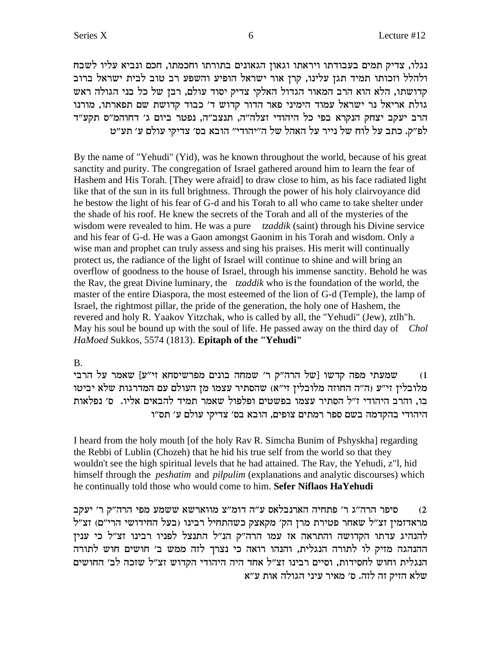נגלו, צדיק תמים בעבודתו ויראתו וגאון הגאונים בתורתו וחכמתו, חכם ונביא עליו לשבח ולהלל וזכותו תמיד תגן עלינו, קרן אור ישראל הופיע והשפע רב טוב לבית ישראל ברוב קדושתו, הלא הוא הרב המאור הגדול האלקי צדיק יסוד עולם, רבן של כל בני הגולה ראש גולת אריאל נר ישראל עמוד הימיני פאר הדור קדוש ד' כבוד קדושת שם תפארתו, מורנו הרב יעקב יצחק הנקרא בפי כל היהודי זצלה"ה, תנצב"ה, נפטר ביום ג' דחוהמ"ס תקע"ד לפ"ק. כתב על לוח של נייר על האהל של ה"יהודי" הובא בס' צדיקי עולם ע' תע"ט

By the name of "Yehudi" (Yid), was he known throughout the world, because of his great sanctity and purity. The congregation of Israel gathered around him to learn the fear of Hashem and His Torah. [They were afraid] to draw close to him, as his face radiated light like that of the sun in its full brightness. Through the power of his holy clairvoyance did he bestow the light of his fear of G-d and his Torah to all who came to take shelter under the shade of his roof. He knew the secrets of the Torah and all of the mysteries of the wisdom were revealed to him. He was a pure *tzaddik* (saint) through his Divine service and his fear of G-d. He was a Gaon amongst Gaonim in his Torah and wisdom. Only a wise man and prophet can truly assess and sing his praises. His merit will continually protect us, the radiance of the light of Israel will continue to shine and will bring an overflow of goodness to the house of Israel, through his immense sanctity. Behold he was the Rav, the great Divine luminary, the *tzaddik* who is the foundation of the world, the master of the entire Diaspora, the most esteemed of the lion of G-d (Temple), the lamp of Israel, the rightmost pillar, the pride of the generation, the holy one of Hashem, the revered and holy R. Yaakov Yitzchak, who is called by all, the "Yehudi" (Jew), ztlh "h. May his soul be bound up with the soul of life. He passed away on the third day of Chol HaMoed Sukkos, 5574 (1813). Epitaph of the "Yehudi"

# $B<sub>1</sub>$

שמעתי מפה קדשו [של הרה״ק ר׳ שמחה בונים מפרשיסחא זי״ע] שאמר על הרבי  $(1)$ מלובלין זי״ע (ה״ה החוזה מלובלין זי״א) שהסתיר עצמו מן העולם עם המדרגות שלא יביטו בו, והרב היהודי ז"ל הסתיר עצמו בפשטים ופלפול שאמר תמיד להבאים אליו. ס' נפלאות היהודי בהקדמה בשם ספר רמתים צופים, הובא בס׳ צדיקי עולם ע׳ תס״ו

I heard from the holy mouth [of the holy Rav R. Simcha Bunim of Pshyskha] regarding the Rebbi of Lublin (Chozeh) that he hid his true self from the world so that they wouldn't see the high spiritual levels that he had attained. The Rav, the Yehudi, z''l, hid himself through the *peshatim* and *pilpulim* (explanations and analytic discourses) which he continually told those who would come to him. Sefer Niflaos HaYehudi

סיפר הרה"ג ר' פתחיה הארנבלאס ע"ה דומ"צ מווארשא ששמע מפי הרה"ק ר' יעקב  $(2)$ מראדזמין זצ"ל שאחר פטירת מרן הק' מקאצק כשהתחיל רבינו (בעל החידושי הרי"ם) זצ"ל להנהיג עדתו הקדושה והתראה אז עמו הרה"ק הנ"ל התנצל לפניו רבינו זצ"ל כי ענין ההנהגה מזיק לו לתורה הנגלית, והנהו רואה כי נצרך לזה ממש ב׳ חושים חוש לתורה הנגלית וחוש לחסידות, וסיים רבינו זצ"ל אחד היה היהודי הקדוש זצ"ל שזכה לב׳ החושים שלא הזיק זה לזה. ס׳ מאיר עיני הגולה אות ע״א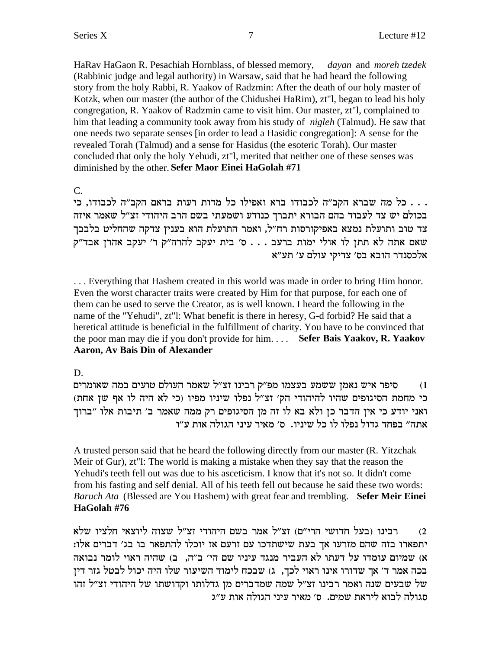HaRav HaGaon R. Pesachiah Hornblass, of blessed memory, *dayan* and *moreh tzedek* (Rabbinic judge and legal authority) in Warsaw, said that he had heard the following story from the holy Rabbi, R. Yaakov of Radzmin: After the death of our holy master of Kotzk, when our master (the author of the Chidushei HaRim), zt"l, began to lead his holy congregation, R. Yaakov of Radzmin came to visit him. Our master, zt"l, complained to him that leading a community took away from his study of *nigleh* (Talmud). He saw that one needs two separate senses [in order to lead a Hasidic congregation]: A sense for the revealed Torah (Talmud) and a sense for Hasidus (the esoteric Torah). Our master concluded that only the holy Yehudi, zt"l, merited that neither one of these senses was diminished by the other. **Sefer Maor Einei HaGolah #71**

C.

... כל מה שברא הקב"ה לכבודו ברא ואפילו כל מדות רעות בראם הקב"ה לכבודו, כי בכולם יש צד לעבוד בהם הבורא יתברך כנודע ושמעתי בשם הרב היהודי זצ"ל שאמר איזה צד טוב ותועלת נמצא באפיקורסות רח"ל, ואמר התועלת הוא בענין צדקה שהחליט בלבבך שאם אתה לא תתן לו אולי ימות ברעב . . . ס׳ בית יעקב להרה״ק ר׳ יעקב אהרן אבד״ק אלכסנדר הובא בס׳ צדיקי עולם ע׳ תע״א

... Everything that Hashem created in this world was made in order to bring Him honor. Even the worst character traits were created by Him for that purpose, for each one of them can be used to serve the Creator, as is well known. I heard the following in the name of the "Yehudi", zt"l: What benefit is there in heresy, G-d forbid? He said that a heretical attitude is beneficial in the fulfillment of charity. You have to be convinced that the poor man may die if you don't provide for him. . . . **Sefer Bais Yaakov, R. Yaakov Aaron, Av Bais Din of Alexander**

D.

סיפר איש נאמן ששמע בעצמו מפ"ק רבינו זצ"ל שאמר העולם טועים במה שאומרים (1 (כי מחמת הסיגופים שהיו להיהודי הק' זצ"ל נפלו שיניו מפיו (כי לא היה לו אף שן אחת) ואני יודע כי אין הדבר כן ולא בא לו זה מן הסיגופים רק ממה שאמר ב׳ תיבות אלו "ברוך אתה" בפחד גדול נפלו לו כל שיניו. ס' מאיר עיני הגולה אות ע"ו

A trusted person said that he heard the following directly from our master (R. Yitzchak Meir of Gur), zt"l: The world is making a mistake when they say that the reason the Yehudi's teeth fell out was due to his asceticism. I know that it's not so. It didn't come from his fasting and self denial. All of his teeth fell out because he said these two words: *Baruch Ata* (Blessed are You Hashem) with great fear and trembling. **Sefer Meir Einei HaGolah #76**

רבינו (בעל חדושי הרי"ם) זצ"ל אמר בשם היהודי זצ"ל שצוה ליוצאי חלציו שלא : יתפארו בזה שהם מזרעו אך בעת שישתדכו עם זרעם אז יוכלו להתפאר בו בג׳ דברים אלו  $\kappa$ ש שמיום עומדו על דעתו לא העביר מנגד עיניו שם הי׳ ב״ה, ב) שהיה ראוי לומר ובואה בכה אמר ד' אך שדורו אינו ראוי לכך, ג) שבכח לימוד השיעור שלו היה יכול לבטל גזר דין edid וקדושתו של היהודי שבעים שנה ואמר רבינו זצ"ל שמה שמדברים מ סגולה לבוא ליראת שמים. ס׳ מאיר עיני הגולה אות ע״ג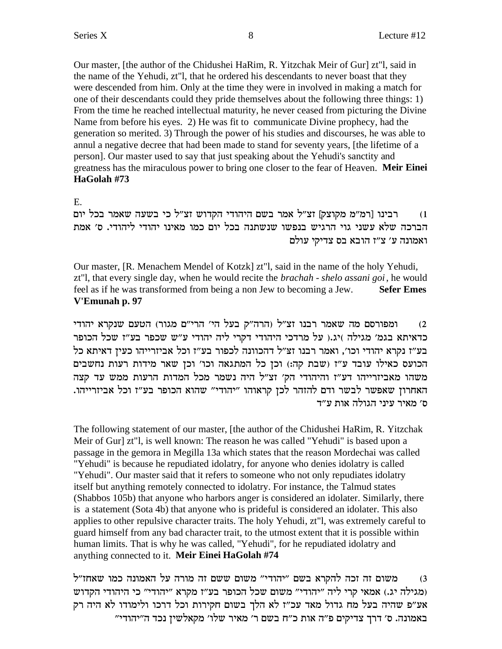Our master, [the author of the Chidushei HaRim, R. Yitzchak Meir of Gur] zt"l, said in the name of the Yehudi, zt"l, that he ordered his descendants to never boast that they were descended from him. Only at the time they were in involved in making a match for one of their descendants could they pride themselves about the following three things: 1) From the time he reached intellectual maturity, he never ceased from picturing the Divine Name from before his eyes. 2) He was fit to communicate Divine prophecy, had the generation so merited. 3) Through the power of his studies and discourses, he was able to annul a negative decree that had been made to stand for seventy years, [the lifetime of a person]. Our master used to say that just speaking about the Yehudi's sanctity and greatness has the miraculous power to bring one closer to the fear of Heaven. **Meir Einei HaGolah #73**

E.

1) רבינו [רמ"מ מקוצק] זצ"ל אמר בשם היהודי הקדוש זצ"ל כי בשעה שאמר בכל יום הברכה שלא עשני גוי הרגיש בנפשו שנשתנה בכל יום כמו מאינו יהודי ליהודי. ס׳ אמת ואמונה ע' צ"ז הובא בס צדיקי עולם

Our master, [R. Menachem Mendel of Kotzk] zt"l, said in the name of the holy Yehudi, zt"l, that every single day, when he would recite the *brachah - shelo assani goi*, he would feel as if he was transformed from being a non Jew to becoming a Jew. **Sefer Emes V'Emunah p. 97**

ומפורסם מה שאמר רבנו זצ"ל (הרה"ק בעל הי' הרי"ם מגור) הטעם שנקרא יהודי כדאיתא בגמ' מגילה )יג.( על מרדכי היהודי דקרי ליה יהודי ע"ש שכפר בע"ז שכל הכופר בע״ז נקרא יהודי וכו׳, ואמר רבנו זצ״ל דהכוונה לכפור בע״ז וכל אביזרייהו כעין דאיתא כל הכועס כאילו עובד ע"ז (שבת קה:) וכן כל המתגאה וכו' וכן שאר מידות רעות נחשבים משהו מאביזרייהו דע"ז והיהודי הק' זצ"ל היה נשמר מכל המדות הרעות ממש עד קצה .<br>האחרון שאפשר לבשר ודם להזהר לכן קראוהו "יהודי" שהוא הכופר בע"ז וכל אביזרייהו ס׳ מאיר עיני הגולה אות ע״ד

The following statement of our master, [the author of the Chidushei HaRim, R. Yitzchak Meir of Gur] zt"l, is well known: The reason he was called "Yehudi" is based upon a passage in the gemora in Megilla 13a which states that the reason Mordechai was called "Yehudi" is because he repudiated idolatry, for anyone who denies idolatry is called "Yehudi". Our master said that it refers to someone who not only repudiates idolatry itself but anything remotely connected to idolatry. For instance, the Talmud states (Shabbos 105b) that anyone who harbors anger is considered an idolater. Similarly, there is a statement (Sota 4b) that anyone who is prideful is considered an idolater. This also applies to other repulsive character traits. The holy Yehudi, zt"l, was extremely careful to guard himself from any bad character trait, to the utmost extent that it is possible within human limits. That is why he was called, "Yehudi", for he repudiated idolatry and anything connected to it. **Meir Einei HaGolah #74**

משום זה זכה להקרא בשם "יהודי" משום ששם זה מורה על האמונה כמו שאחז"ל מגילה יג.) אמאי קרי ליה "יהודי" משום שכל הכופר בע"ז מקרא "יהודי" כי היהודי הקדוש) אע״פ שהיה בעל מח גדול מאד עכ״ז לא הלך בשום חקירות וכל דרכו ולימודו לא היה רק "באמונה. ס' דרך צדיקים פ"ה אות כ"ח בשם ר' מאיר שלו' מקאלשין נכד ה"יהודי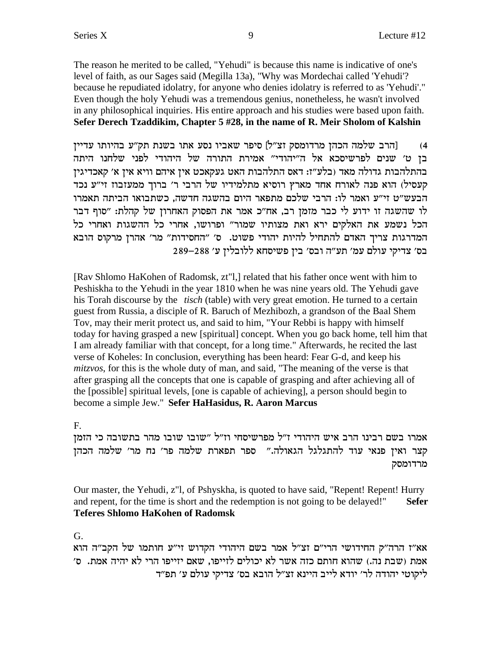The reason he merited to be called, "Yehudi" is because this name is indicative of one's level of faith, as our Sages said (Megilla 13a), "Why was Mordechai called 'Yehudi'? because he repudiated idolatry, for anyone who denies idolatry is referred to as 'Yehudi'." Even though the holy Yehudi was a tremendous genius, nonetheless, he wasn't involved in any philosophical inquiries. His entire approach and his studies were based upon faith. Sefer Derech Tzaddikim, Chapter 5 #28, in the name of R. Meir Sholom of Kalshin

[הרב שלמה הכהן מרדומסק זצ״ל] סיפר שאביו נסע אתו בשנת תק״ע בהיותו עדיין  $(4)$ בן ט׳ שנים לפרשיסכא אל ה״יהודי״ אמירת התורה של היהודי לפני שלחנו היתה בהתלהבות גדולה מאד (בלע"ז: דאס התלהבות האט געקאכט אין איהם וויא אין א' קאכדיגין קעסיל) הוא פנה לאורח אחד מארץ רוסיא מתלמידיו של הרבי ר' ברוך ממעזבוז זי"ע נכד הבעש״ט זי״ע ואמר לו: הרבי שלכם מתפאר היום בהשגה חדשה, כשתבואו הביתה תאמרו לו שהשגה זו ידוע לי כבר מזמן רב, אח"כ אמר את הפסוק האחרון של קהלת: "סוף דבר הכל נשמע את האלקים ירא ואת מצותיו שמור" ופרושו, אחרי כל ההשגות ואחרי כל המדרגות צריך האדם להתחיל להיות יהודי פשוט. ס׳ "החסידות" מר׳ אהרן מרקוס הובא בס׳ צדיקי עולם עמ׳ תע״ה ובס׳ בין פשיסחא ללובלין ע׳ 288–289

[Rav Shlomo HaKohen of Radomsk, zt"],] related that his father once went with him to Peshiskha to the Yehudi in the year 1810 when he was nine years old. The Yehudi gave his Torah discourse by the *tisch* (table) with very great emotion. He turned to a certain guest from Russia, a disciple of R. Baruch of Mezhibozh, a grandson of the Baal Shem Tov, may their merit protect us, and said to him, "Your Rebbi is happy with himself today for having grasped a new [spiritual] concept. When you go back home, tell him that I am already familiar with that concept, for a long time." Afterwards, he recited the last verse of Koheles: In conclusion, everything has been heard: Fear G-d, and keep his *mitzvos*, for this is the whole duty of man, and said, "The meaning of the verse is that after grasping all the concepts that one is capable of grasping and after achieving all of the [possible] spiritual levels, [one is capable of achieving], a person should begin to become a simple Jew." Sefer HaHasidus, R. Aaron Marcus

 $F_{\cdot}$ 

אמרו בשם רבינו הרב איש היהודי ז״ל מפרשיסחי וז״ל ״שובו שובו מהר בתשובה כי הזמן קצר ואין פנאי עוד להתגלגל הגאולה." ספר תפארת שלמה פר' נח מר' שלמה הכהן מרדומסק

Our master, the Yehudi, z"l, of Pshyskha, is quoted to have said, "Repent! Repent! Hurry and repent, for the time is short and the redemption is not going to be delayed!" **Sefer Teferes Shlomo HaKohen of Radomsk** 

 $G<sub>r</sub>$ 

אא"ז הרה"ק החידושי הרי"ם זצ"ל אמר בשם היהודי הקדוש זי"ע חותמו של הקב"ה הוא אמת (שבת נה.) שהוא חותם כזה אשר לא יכולים לזייפו, שאם יזייפו הרי לא יהיה אמת. ס׳ ליקוטי יהודה לר׳ יודא לייב היינא זצ״ל הובא בס׳ צדיקי עולם ע׳ תפ״ד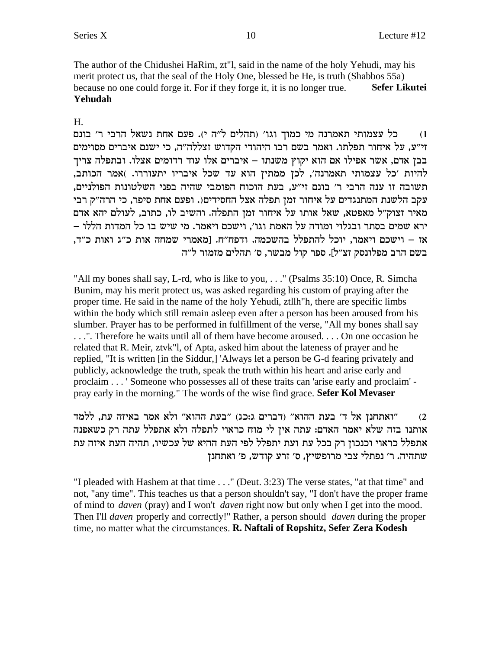The author of the Chidushei HaRim, zt"l, said in the name of the holy Yehudi, may his merit protect us, that the seal of the Holy One, blessed be He, is truth (Shabbos 55a) because no one could forge it. For if they forge it, it is no longer true. **Sefer Likutei** Yehudah

#### H.

כל עצמותי תאמרנה מי כמוך וגו׳ (תהלים ל״ה י). פעם אחת נשאל הרבי ר׳ בונם  $(1)$ זי"ע, על איחור תפלתו. ואמר בשם רבו היהודי הקדוש זצללה"ה, כי ישנם איברים מסוימים בבן אדם, אשר אפילו אם הוא יקוץ משנתו – איברים אלו עוד רדומים אצלו. ובתפלה צריך להיות 'כל עצמותי תאמרנה', לכן ממתין הוא עד שכל איבריו יתעוררו. )אמר הכותב, תשובה זו ענה הרבי ר׳ בונם זי״ע, בעת הוכוח הפומבי שהיה בפני השלטונות הפולניים, עקב הלשנת המתנגדים על איחור זמן תפלה אצל החסידים(. ופעם אחת סיפר, כי הרה״ק רבי מאיר זצוק"ל מאפטא, שאל אותו על איחור זמן התפלה. והשיב לו, כתוב, לעולם יהא אדם ירא שמים בסתר ובגלוי ומודה על האמת וגו׳. וישכם ויאמר. מי שיש בו כל המדות הללו – אז – וישכם ויאמר, יוכל להתפלל בהשכמה. ודפח״ח. [מאמרי שמחה אות כ״ג ואות כ״ד, בשם הרב מפלונסק זצ"ל]. ספר קול מבשר, ס' תהלים מזמור ל"ה

"All my bones shall say, L-rd, who is like to you, ..." (Psalms 35:10) Once, R. Simcha Bunim, may his merit protect us, was asked regarding his custom of praying after the proper time. He said in the name of the holy Yehudi, ztllh "h, there are specific limbs within the body which still remain asleep even after a person has been aroused from his slumber. Prayer has to be performed in fulfillment of the verse, "All my bones shall say ...". Therefore he waits until all of them have become aroused... On one occasion he related that R. Meir, ztvk"l, of Apta, asked him about the lateness of prayer and he replied, "It is written [in the Siddur,] 'Always let a person be G-d fearing privately and publicly, acknowledge the truth, speak the truth within his heart and arise early and proclaim . . . 'Someone who possesses all of these traits can 'arise early and proclaim' pray early in the morning." The words of the wise find grace. Sefer Kol Mevaser

״ואתחנן אל ד׳ בעת ההוא״ (דברים ג:כג) ״בעת ההוא״ ולא אמר באיזה עת, ללמד  $(2)$ אותנו בזה שלא יאמר האדם: עתה אין לי מוח כראוי לתפלה ולא אתפלל עתה רק כשאפנה אתפלל כראוי וכנכון רק בכל עת ועת יתפלל לפי העת ההיא של עכשיו, תהיה העת איזה עת שתהיה. ר' נפתלי צבי מרופשיץ, ס' זרע קודש, פ' ואתחנן

"I pleaded with Hashem at that time . . ." (Deut. 3:23) The verse states, "at that time" and not, "any time". This teaches us that a person shouldn't say, "I don't have the proper frame of mind to *daven* (pray) and I won't *daven* right now but only when I get into the mood. Then I'll *daven* properly and correctly!" Rather, a person should *daven* during the proper time, no matter what the circumstances. R. Naftali of Ropshitz, Sefer Zera Kodesh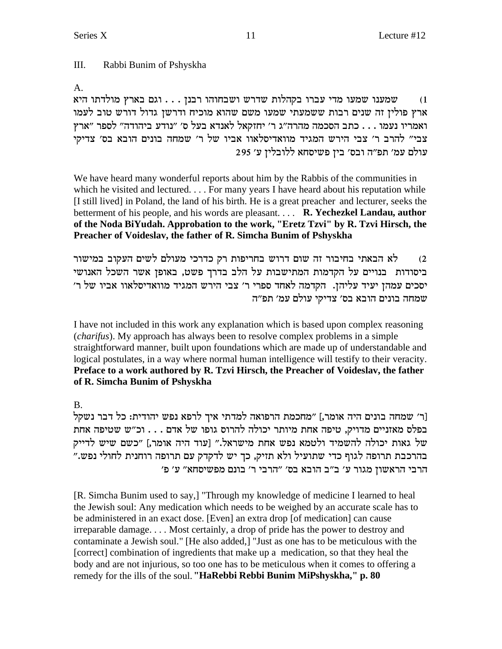# III. Rabbi Bunim of Pshyskha

A.

שמענו שמעו מדי עברו בקהלות שדרש ושבחוהו רבנן . . . וגם בארץ מולדתו היא  $\,$ ארץ פולין זה שנים רבות ששמעתי שמעו משם שהוא מוכיח ודרשן גדול דורש טוב לעמו ואמריו נעמו . . . כתב הסכמה מהרה"ג ר' יחזקאל לאנדא בעל ס' "נודע ביהודה" לספר "ארץ צבי" להרב ר' צבי הירש המגיד מוואדיסלאוו אביו של ר' שמחה בונים הובא בס' צדיקי  $295$ יעולם עמ' תפ"ה ובס' בין פשיסחא ללובלין ע

We have heard many wonderful reports about him by the Rabbis of the communities in which he visited and lectured. . . . For many years I have heard about his reputation while [I still lived] in Poland, the land of his birth. He is a great preacher and lecturer, seeks the betterment of his people, and his words are pleasant. . . . **R. Yechezkel Landau, author of the Noda BiYudah. Approbation to the work, "Eretz Tzvi" by R. Tzvi Hirsch, the Preacher of Voideslav, the father of R. Simcha Bunim of Pshyskha**

ג הבאתי בחיבור זה שום דרוש בחריפות רק כדרכי מעולם לשים העקוב במישור  $\zeta$ ביסודות בנויים על הקדמות המתישבות על הלב בדרך פשט, באופן אשר השכל האנושי 'סכים עמהן יעיד עליהן. הקדמה לאחד ספרי ר' צבי הירש המגיד מוואדיסלאוו אביו של ר' שמחה בונים הובא בס׳ צדיקי עולם עמ׳ תפ״ה

I have not included in this work any explanation which is based upon complex reasoning (*charifus*). My approach has always been to resolve complex problems in a simple straightforward manner, built upon foundations which are made up of understandable and logical postulates, in a way where normal human intelligence will testify to their veracity. **Preface to a work authored by R. Tzvi Hirsch, the Preacher of Voideslav, the father of R. Simcha Bunim of Pshyskha**

B.

[ר׳ שמחה בונים היה אומר,] "מחכמת הרפואה למדתי איך לרפא נפש יהודית: כל דבר נשקל בפלס מאזניים מדויק, טיפה אחת מיותר יכולה להרוס גופו של אדם . . . וכ"ש שטיפה אחת של גאות יכולה להשמיד ולטמא נפש אחת מישראל." [עוד היה אומר,] "כשם שיש לדייק בהרכבת תרופה לגוף כדי שתועיל ולא תזיק, כך יש לדקדק עם תרופה רוחנית לחולי נפש." 'הרבי הראשון מגור ע' ב"ב הובא בס' "הרבי ר' בונם מפשיסחא" ע

[R. Simcha Bunim used to say,] "Through my knowledge of medicine I learned to heal the Jewish soul: Any medication which needs to be weighed by an accurate scale has to be administered in an exact dose. [Even] an extra drop [of medication] can cause irreparable damage. . . . Most certainly, a drop of pride has the power to destroy and contaminate a Jewish soul." [He also added,] "Just as one has to be meticulous with the [correct] combination of ingredients that make up a medication, so that they heal the body and are not injurious, so too one has to be meticulous when it comes to offering a remedy for the ills of the soul.**"HaRebbi Rebbi Bunim MiPshyskha," p. 80**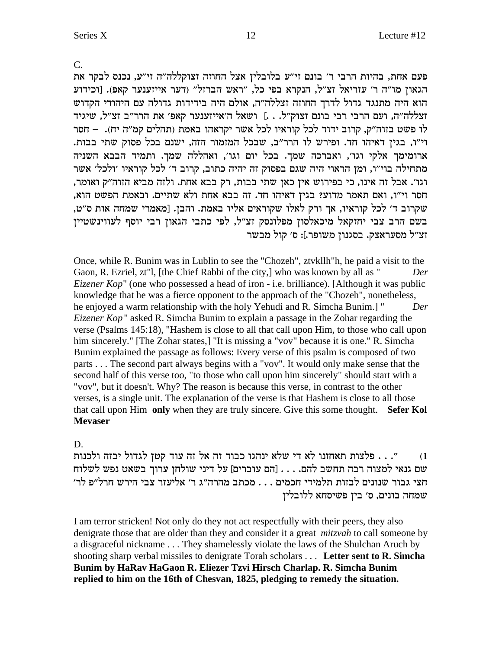$\mathcal{C}$ .

פעם אחת, בהיות הרבי ר' בונם זי״ע בלובלין אצל החוזה זצוקללה״ה זי״ע, נכנס לבקר את הגאון מו"ה ר' עזריאל זצ"ל, הנקרא בפי כל, "ראש הברזל" (דער אייזענער קאפ). [וכידוע הוא היה מתנגד גדול לדרך החוזה זצללה"ה, אולם היה בידידות גדולה עם היהודי הקדוש זצללה"ה, ועם הרבי רבי בונם זצוק"ל. . .] ושאל ה'אייזענער קאפ' את הרר"ב זצ"ל, שיגיד לו פשט בזוה"ק, קרוב ידוד לכל קוראיו לכל אשר יקראהו באמת (תהלים קמ"ה יח). – חסר וי"ו, בגין דאיהו חד. ופירש לו הרר"ב, שבכל המזמור הזה, ישנם בכל פסוק שתי בבות. ארומימך אלקי וגו׳, ואברכה שמך. בכל יום וגו׳, ואהללה שמך. ותמיד הבבא השניה מתחילה בוי"ו, ומן הראוי היה שגם בפסוק זה יהיה כתוב, קרוב ד' לכל קוראיו 'ולכל' אשר וגו׳. אבל זה אינו, כי בפירוש אין כאן שתי בבות, רק בבא אחת. ולזה מביא הזוה״ק ואומר, חסר וי״ו, ואם תאמר מדוע? בגין דאיהו חד. זה בבא אחת ולא שתיים. ובאמת הפשט הוא, שקרוב ד׳ לכל קוראיו, אך ורק לאלו שקוראים אליו באמת. והבז. [מאמרי שמחה אות ס״ט, בשם הרב צבי יחזקאל מיכאלסון מפלונסק זצ"ל, לפי כתבי הגאון רבי יוסף לעווינשטיין זצ"ל מסעראצק. בסגנון משופר.]: ס' קול מבשר

Once, while R. Bunim was in Lublin to see the "Chozeh", ztvkllh h, he paid a visit to the Gaon, R. Ezriel, zt"l, [the Chief Rabbi of the city,] who was known by all as " Der *Eizener Kop*" (one who possessed a head of iron - i.e. brilliance). [Although it was public knowledge that he was a fierce opponent to the approach of the "Chozeh", nonetheless, he enjoyed a warm relationship with the holy Yehudi and R. Simcha Bunim.] " Der *Eizener Kop*" asked R. Simcha Bunim to explain a passage in the Zohar regarding the verse (Psalms 145:18), "Hashem is close to all that call upon Him, to those who call upon him sincerely." [The Zohar states,] "It is missing a "vov" because it is one." R. Simcha Bunim explained the passage as follows: Every verse of this psalm is composed of two parts . . . The second part always begins with a "vov". It would only make sense that the second half of this verse too, "to those who call upon him sincerely" should start with a "vov", but it doesn't. Why? The reason is because this verse, in contrast to the other verses, is a single unit. The explanation of the verse is that Hashem is close to all those that call upon Him only when they are truly sincere. Give this some thought. Sefer Kol **Mevaser** 

# D.

". . . פלצות תאחזנו לא די שלא ינהגו כבוד זה אל זה עוד קטן לגדול יבזה ולכנות  $(1)$ שם גנאי למצוה רבה תחשב להם. . . . [הם עוברים] על דיני שולחן ערוך בשאט נפש לשלוח חצי גבור שנונים לבזות תלמידי חכמים . . . מכתב מהרה"ג ר' אליעזר צבי הירש חרל"פ לר' שמחה בונים, ס׳ בין פשיסחא ללובלין

I am terror stricken! Not only do they not act respectfully with their peers, they also denigrate those that are older than they and consider it a great *mitzvah* to call someone by a disgraceful nickname . . . They shamelessly violate the laws of the Shulchan Aruch by shooting sharp verbal missiles to denigrate Torah scholars . . . Letter sent to R. Simcha Bunim by HaRav HaGaon R. Eliezer Tzvi Hirsch Charlap. R. Simcha Bunim replied to him on the 16th of Chesvan, 1825, pledging to remedy the situation.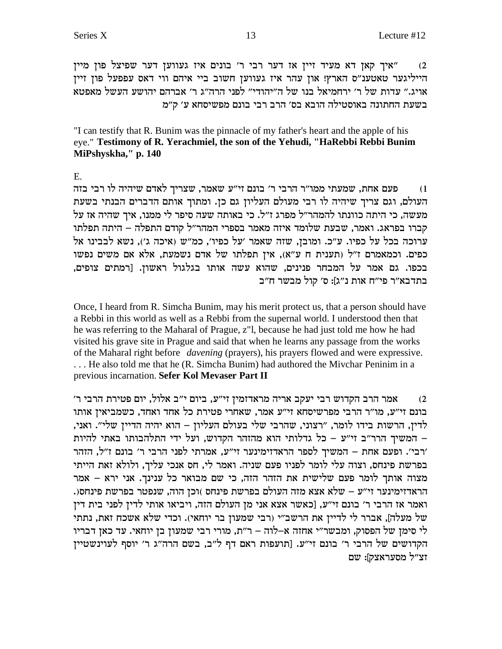"איך קאן דא מעיד זיין אז דער רבי ר' בונים איז געווען דער שפיצל פון מיין  $(2)$ הייליגער טאטענ"ס הארץ! און עהר איז געווען חשוב ביי איהם ווי דאס עפפעל פון זיין אויג." עדות של ר' ירחמיאל בנו של ה"יהודי" לפני הרה"ג ר' אברהם יהושע העשל מאפטא בשעת החתונה באוסטילה הובא בס׳ הרב רבי בונם מפשיסחא ע׳ ק״מ

"I can testify that R. Bunim was the pinnacle of my father's heart and the apple of his eye." Testimony of R. Yerachmiel, the son of the Yehudi, "HaRebbi Rebbi Bunim MiPshyskha," p. 140

 $E.$ 

פעם אחת, שמעתי ממו"ר הרבי ר' בונם זי"ע שאמר, שצריך לאדם שיהיה לו רבי בזה  $(1)$ העולם, וגם צריך שיהיה לו רבי מעולם העליון גם כן. ומתוך אותם הדברים הבנתי בשעת מעשה, כי היתה כוונתו להמהר״ל מפרג ז״ל. כי באותה שעה סיפר לי ממנו, איך שהיה אז על קברו בפראג. ואמר, שבעת שלומד איזה מאמר בספרי המהר״ל קודם התפלה – היתה תפלתו ערוכה בכל על כפיו. ע"כ. ומובן, שזה שאמר 'על כפיו', כמ"ש (איכה ג'), נשא לבבינו אל כפים. וכמאמרם ז"ל (תענית ח ע"א), אין תפלתו של אדם נשמעת, אלא אם משים נפשו בכפו. גם אמר על המבחר פנינים, שהוא עשה אותו בגלגול ראשון. [רמתים צופים, בתדבא״ר פי״ח אות נ״ג]: ס׳ קול מבשר ח״ב

Once, I heard from R. Simcha Bunim, may his merit protect us, that a person should have a Rebbi in this world as well as a Rebbi from the supernal world. I understood then that he was referring to the Maharal of Prague, z"l, because he had just told me how he had visited his grave site in Prague and said that when he learns any passage from the works of the Maharal right before *davening* (prayers), his prayers flowed and were expressive. ... He also told me that he (R. Simcha Bunim) had authored the Mivchar Peninim in a previous incarnation. Sefer Kol Mevaser Part II

אמר הרב הקדוש רבי יעקב אריה מראדזמין זי״ע, ביום י״ב אלול, יום פטירת הרבי ר׳  $(2)$ בונם זי"ע, מו"ר הרבי מפרשיסחא זי"ע אמר, שאחרי פטירת כל אחד ואחד, כשמביאין אותו לדין, הרשות בידו לומר, "רצוני, שהרבי שלי בעולם העליון – הוא יהיה הדיין שלי". ואני, – המשיך הרר"ב זי"ע – כל גדלותי הוא מהזהר הקדוש, ועל ידי התלהבותו באתי להיות ׳רבי׳. ופעם אחת – המשיך לספר הראדזימינער זי״ע, אמרתי לפני הרבי ר׳ בונם ז״ל, הזהר בפרשת פינחס, וצוה עלי לומר לפניו פעם שניה. ואמר לי, חס אנכי עליך, ולולא זאת הייתי מצוה אותך לומר פעם שלישית את הזהר הזה, כי שם מבואר כל ענינך. אני ירא – אמר הראדזימינער זי״ע – שלא אצא מזה העולם בפרשת פינחס )וכן הוה, שנפטר בפרשת פינחס(. ואמר אז הרבי ר' בונם זי"ע, [כאשר אצא אני מן העולם הזה, ויביאו אותי לדין לפני בית דין של מעלה], אברר לי לדיין את הרשב"י (רבי שמעון בר יוחאי). וכדי שלא אשכח זאת, נתתי לי סימן של הפסוק, ומבשר"י אחזה א-לוה – ר"ת, מורי רבי שמעון בן יוחאי. עד כאן דבריו הקדושים של הרבי ר' בונם זי"ע. [תועפות ראם דף ל"ב, בשם הרה"ג ר' יוסף לעוינשטיין זצ"ל מסעראצק]: שם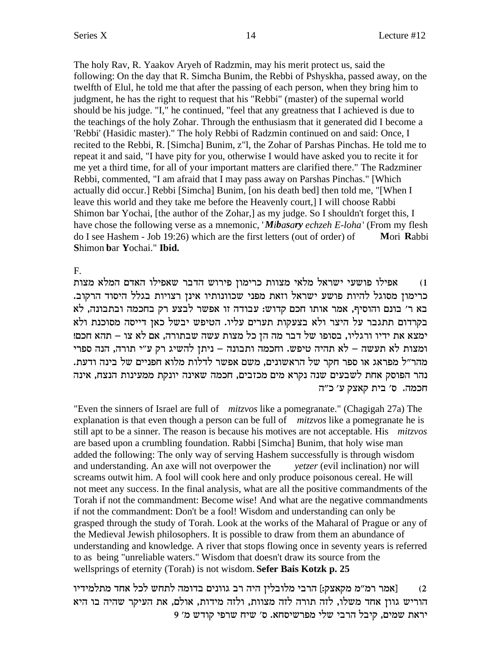The holy Rav, R. Yaakov Aryeh of Radzmin, may his merit protect us, said the following: On the day that R. Simcha Bunim, the Rebbi of Pshyskha, passed away, on the twelfth of Elul, he told me that after the passing of each person, when they bring him to judgment, he has the right to request that his "Rebbi" (master) of the supernal world should be his judge. "I," he continued, "feel that any greatness that I achieved is due to the teachings of the holy Zohar. Through the enthusiasm that it generated did I become a 'Rebbi' (Hasidic master)." The holy Rebbi of Radzmin continued on and said: Once, I recited to the Rebbi, R. [Simcha] Bunim, z"l, the Zohar of Parshas Pinchas. He told me to repeat it and said, "I have pity for you, otherwise I would have asked you to recite it for me yet a third time, for all of your important matters are clarified there." The Radzminer Rebbi, commented, "I am afraid that I may pass away on Parshas Pinchas." [Which actually did occur.] Rebbi [Simcha] Bunim, [on his death bed] then told me, "[When I leave this world and they take me before the Heavenly court,] I will choose Rabbi Shimon bar Yochai, [the author of the Zohar,] as my judge. So I shouldn't forget this, I have chose the following verse as a mnemonic, '*Mibasary echzeh E-loha*' (From my flesh do I see Hashem - Job 19:26) which are the first letters (out of order) of **M**ori **R**abbi **S**himon **b**ar **Y**ochai." **Ibid.**

#### F.

צפילו מצות המלא מצוות כרימון פירוש הדבר שאפילו האדם המלא מצות i $\,$ .<br>כרימון מסוגל להיות פושע ישראל וזאת מפני שכוונותיו אינן רצויות בגלל היסוד הרקוב  $k$ בא ר' בונם והוסיף, אמר אותו חכם קדוש: עבודה זו אפשר לבצע רק בחכמה ובתבונה, לא בקרדום תתגבר על היצר ולא בצעקות תערים עליו. הטיפש יבשל כאן דייסה מסוכנת ולא ימצא את ידיו ורגליו, בסופו של דבר מה הן כל מצות עשה שבתורה, אם לא צו – תהא חכם! ומצות לא תעשה – לא תהיה טיפש. וחכמה ותבונה – ניתן להשיג רק ע״י תורה, הנה ספרי .<br>מהר״ל מפראג או ספר חקר של הראשונים, משם אפשר לדלות מלוא חפניים של בינה ודעת נהר הפוסק אחת לשבעים שנה נקרא מים מכזבים, חכמה שאינה יונקת ממעינות הנצח, אינה חכמה. ס' בית קאצק ע' כ"ה

"Even the sinners of Israel are full of *mitzvos* like a pomegranate." (Chagigah 27a) The explanation is that even though a person can be full of *mitzvos* like a pomegranate he is still apt to be a sinner. The reason is because his motives are not acceptable. His *mitzvos* are based upon a crumbling foundation. Rabbi [Simcha] Bunim, that holy wise man added the following: The only way of serving Hashem successfully is through wisdom and understanding. An axe will not overpower the *yetzer* (evil inclination) nor will screams outwit him. A fool will cook here and only produce poisonous cereal. He will not meet any success. In the final analysis, what are all the positive commandments of the Torah if not the commandment: Become wise! And what are the negative commandments if not the commandment: Don't be a fool! Wisdom and understanding can only be grasped through the study of Torah. Look at the works of the Maharal of Prague or any of the Medieval Jewish philosophers. It is possible to draw from them an abundance of understanding and knowledge. A river that stops flowing once in seventy years is referred to as being "unreliable waters." Wisdom that doesn't draw its source from the wellsprings of eternity (Torah) is not wisdom. **Sefer Bais Kotzk p. 25**

אמר רמ"מ מקאצק:] הרבי מלובלין היה רב גוונים בדומה לתחש לכל אחד מתלמידיו [3] אמר רמ"מ מקאצק הוריש גוון אחד משלו, לזה תורה לזה מצוות, ולזה מידות, אולם, את העיקר שהיה בו היא 9 'יראת שמים, קיבל הרבי שלי מפרשיסחא. ס׳ שיח שרפי קודש מ׳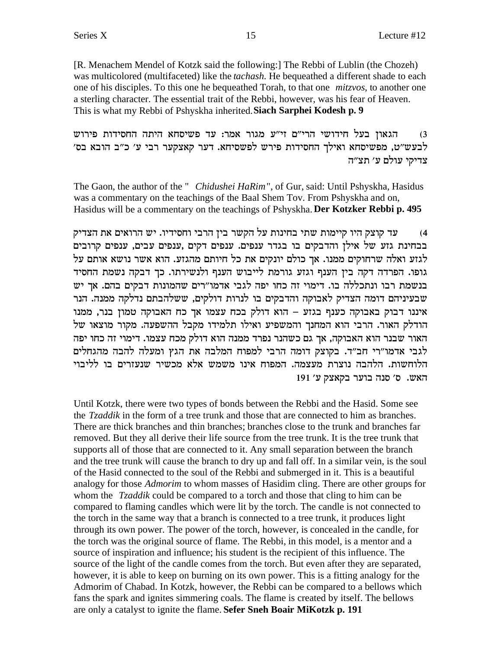[R. Menachem Mendel of Kotzk said the following:] The Rebbi of Lublin (the Chozeh) was multicolored (multifaceted) like the *tachash*. He bequeathed a different shade to each one of his disciples. To this one he bequeathed Torah, to that one *mitzvos*, to another one a sterling character. The essential trait of the Rebbi, however, was his fear of Heaven. This is what my Rebbi of Pshyskha inherited.**Siach Sarphei Kodesh p. 9**

הגאון בעל חידושי הרי"ם זי"ע מגור אמר: עד פשיסחא היתה החסידות פירוש  $\,3\,$ לבעש"ט, מפשיסחא ואילך החסידות פירש לפשסיחא. דער קאצקער רבי ע' כ"ב הובא בס' צדיקי עולם ע׳ תצ״ה

The Gaon, the author of the " *Chidushei HaRim*", of Gur, said: Until Pshyskha, Hasidus was a commentary on the teachings of the Baal Shem Tov. From Pshyskha and on, Hasidus will be a commentary on the teachings of Pshyskha. **Der Kotzker Rebbi p. 495**

עד קוצק היו קיימות שתי בחינות על הקשר בין הרבי וחסידיו. יש הרואים את הצדיק בבחינת גזע של אילן והדבקים בו בגדר ענפים. ענפים דקים ,ענפים ,ענפים קרובים לגזע ואלה שרחוקים ממנו. אך כולם יונקים את כל חיותם מהגזע. הוא אשר נושא אותם על גופו. הפרדה דקה בין הענף וגזע גורמת לייבוש הענף ולנשירתו. כך דבקה נשמת החסיד בנשמת רבו ונתכללה בו. דימוי זה כחו יפה לגבי אדמו"רים שהמונות דבקים בהם. אך יש שבעיניהם דומה הצדיק לאבוקה והדבקים בו לנרות דולקים, ששלהבתם נדלקה ממנה. הנר איננו דבוק באבוקה כענף בגזע – הוא דולק בכח עצמו אך כח האבוקה טמון בנר, ממנו הודלק האור. הרבי הוא המחנך והמשפיע ואילו תלמידו מקבל ההשפעה. מקור מוצאו של האור שבנר הוא האבוקה, אך גם כשהנר נפרד ממנה הוא דולק מכח עצמו. דימוי זה כחו יפה לגבי אדמו"רי חב"ד. בקוצק דומה הרבי למפוח המלבה את הגץ ומעלה להבה מהגחלים הלוחשות. הלהבה נוצרת מעצמה. המפוח אינו משמש אלא מכשיר שנעזרים בו לליבוי 191 'האש. ס' סנה בוער בקאצק ע

Until Kotzk, there were two types of bonds between the Rebbi and the Hasid. Some see the *Tzaddik* in the form of a tree trunk and those that are connected to him as branches. There are thick branches and thin branches; branches close to the trunk and branches far removed. But they all derive their life source from the tree trunk. It is the tree trunk that supports all of those that are connected to it. Any small separation between the branch and the tree trunk will cause the branch to dry up and fall off. In a similar vein, is the soul of the Hasid connected to the soul of the Rebbi and submerged in it. This is a beautiful analogy for those *Admorim* to whom masses of Hasidim cling. There are other groups for whom the *Tzaddik* could be compared to a torch and those that cling to him can be compared to flaming candles which were lit by the torch. The candle is not connected to the torch in the same way that a branch is connected to a tree trunk, it produces light through its own power. The power of the torch, however, is concealed in the candle, for the torch was the original source of flame. The Rebbi, in this model, is a mentor and a source of inspiration and influence; his student is the recipient of this influence. The source of the light of the candle comes from the torch. But even after they are separated, however, it is able to keep on burning on its own power. This is a fitting analogy for the Admorim of Chabad. In Kotzk, however, the Rebbi can be compared to a bellows which fans the spark and ignites simmering coals. The flame is created by itself. The bellows are only a catalyst to ignite the flame. **Sefer Sneh Boair MiKotzk p. 191**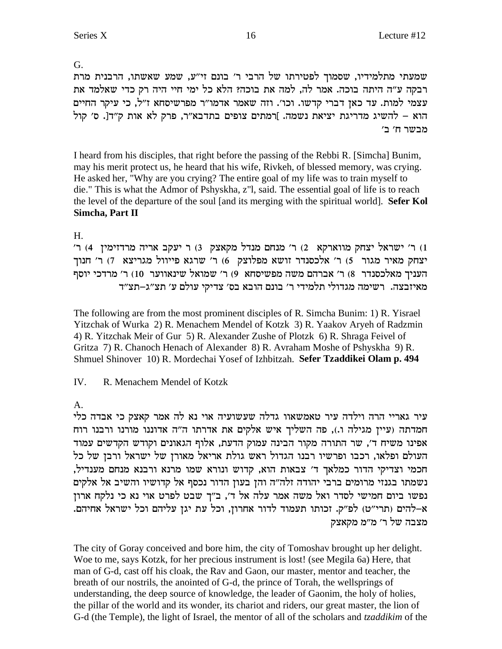G.

שמעתי מתלמידיו, שסמוך לפטירתו של הרבי ר' בונם זי"ע, שמע שאשתו, הרבנית מרת רבקה ע״ה היתה בוכה. אמר לה, למה את בוכה? הלא כל ימי חיי היה רק כדי שאלמד את עצמי למות. עד כאן דברי קדשו. וכו'. וזה שאמר אדמו"ר מפרשיסחא ז"ל, כי עיקר החיים הוא – להשיג מדריגת יציאת נשמה. ]רמתים צופים בתדבא"ר, פרק לא אות ק"ד[. ס' קול מבשר ח׳ ב׳

I heard from his disciples, that right before the passing of the Rebbi R. [Simcha] Bunim, may his merit protect us, he heard that his wife, Rivkeh, of blessed memory, was crying. He asked her, "Why are you crying? The entire goal of my life was to train myself to die." This is what the Admor of Pshyskha, z"l, said. The essential goal of life is to reach the level of the departure of the soul [and its merging with the spiritual world]. Sefer Kol Simcha, Part II

# $H_{\cdot}$

ו) ר' ישראל יצחק מווארקא 2) ר' מנחם מנדל מקאצק 3) ר יעקב אריה מרדזימין 4) ר' יצחק מאיר מגור (5) ר׳ אלכסנדר וושא מפלוצק (6) ר׳ שרגא פייוול מגריצא (7) ר׳ חנוך העניך מאלכסנדר 8) ר׳ אברהם משה מפשיסחא 9) ר׳ שמואל שינאווער 10) ר׳ מרדכי יוסף מאיזבצה. רשימה מגדולי תלמידי ר׳ בונם הובא בס׳ צדיקי עולם ע׳ תצ״ג–תצ״ד

The following are from the most prominent disciples of R. Simcha Bunim: 1) R. Yisrael Yitzchak of Wurka 2) R. Menachem Mendel of Kotzk 3) R. Yaakov Aryeh of Radzmin 4) R. Yitzchak Meir of Gur 5) R. Alexander Zushe of Plotzk 6) R. Shraga Feivel of Gritza 7) R. Chanoch Henach of Alexander 8) R. Avraham Moshe of Pshyskha 9) R. Shmuel Shinover 10) R. Mordechai Yosef of Izhbitzah. Sefer Tzaddikei Olam p. 494

IV. R. Menachem Mendel of Kotzk

 $A_{\cdot}$ 

עיר גאריי הרה וילדה עיר טאמשאוו גדלה שעשועיה אוי נא לה אמר קאצק כי אבדה כלי חמדתה (עיין מגילה ו.), פה השליך איש אלקים את אדרתו ה"ה אדוננו מורנו ורבנו רוח אפינו משיח ד', שר התורה מקור הבינה עמוק הדעת, אלוף הגאונים וקודש הקדשים עמוד העולם ופלאו, רכבו ופרשיו רבנו הגדול ראש גולת אריאל מאורן של ישראל ורבן של כל חכמי וצדיקי הדור כמלאך ד' צבאות הוא, קדוש ונורא שמו מרנא ורבנא מנחם מענדיל, נשמתו בגנזי מרומים ברבי יהודה זלה"ה והן בעון הדור נכסף אל קדושיו והשיב אל אלקים נפשו ביום חמישי לסדר ואל משה אמר עלה אל ד', ב"ך שבט לפרט אוי נא כי נלקח ארון א–להים (תרי"ט) לפ"ק. זכותו תעמוד לדור אחרון, וכל עת יגן עליהם וכל ישראל אחיהם. מצבה של ר׳ מ״מ מקאצק

The city of Goray conceived and bore him, the city of Tomoshav brought up her delight. Woe to me, says Kotzk, for her precious instrument is lost! (see Megila 6a) Here, that man of G-d, cast off his cloak, the Rav and Gaon, our master, mentor and teacher, the breath of our nostrils, the anointed of G-d, the prince of Torah, the wellsprings of understanding, the deep source of knowledge, the leader of Gaonim, the holy of holies, the pillar of the world and its wonder, its chariot and riders, our great master, the lion of G-d (the Temple), the light of Israel, the mentor of all of the scholars and tzaddikim of the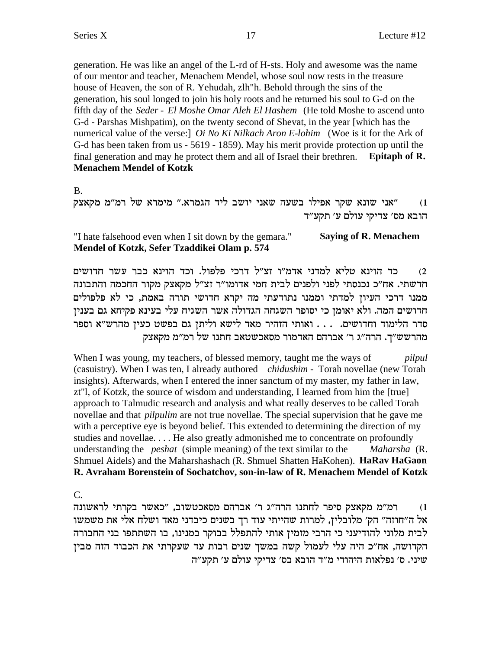generation. He was like an angel of the L-rd of H-sts. Holy and awesome was the name of our mentor and teacher, Menachem Mendel, whose soul now rests in the treasure house of Heaven, the son of R. Yehudah, zlh"h. Behold through the sins of the generation, his soul longed to join his holy roots and he returned his soul to G-d on the fifth day of the Seder - El Moshe Omar Aleh El Hashem (He told Moshe to ascend unto G-d - Parshas Mishpatim), on the twenty second of Shevat, in the year [which has the numerical value of the verse: | Oi No Ki Nilkach Aron E-lohim (Woe is it for the Ark of G-d has been taken from us - 5619 - 1859). May his merit provide protection up until the final generation and may he protect them and all of Israel their brethren. Epitaph of R. **Menachem Mendel of Kotzk** 

 $\mathbf{B}$ .

"אני שונא שקר אפילו בשעה שאני יושב ליד הגמרא." מימרא של רמ"מ מקאצק  $(1)$ הובא מס׳ צדיקי עולם ע׳ תקע״ד

#### "I hate falsehood even when I sit down by the gemara." **Saying of R. Menachem** Mendel of Kotzk, Sefer Tzaddikei Olam p. 574

כד הוינא טליא למדני אדמ״ו זצ״ל דרכי פלפול. וכד הוינא כבר עשר חדושים  $(2)$ חדשתי. אח״כ נכנסתי לפני ולפנים לבית חמי אדומו״ר זצ״ל מקאצק מקור החכמה והתבונה ממנו דרכי העיון למדתי וממנו נתודעתי מה יקרא חדושי תורה באמת, כי לא פלפולים חדושים המה. ולא יאומן כי יסופר השגחה הגדולה אשר השגיח עלי בעינא פקיחא גם בענין סדר הלימוד וחדושים. . . . ואותי הזהיר מאד לישא וליתן גם בפשט כעין מהרש"א וספר מהרשש"ך. הרה"ג ר' אברהם האדמור מסאכשטאב חתנו של רמ"מ מקאצק

When I was young, my teachers, of blessed memory, taught me the ways of pilpul (casuistry). When I was ten, I already authored *chidushim* - Torah novellae (new Torah insights). Afterwards, when I entered the inner sanctum of my master, my father in law, zt"l, of Kotzk, the source of wisdom and understanding, I learned from him the [true] approach to Talmudic research and analysis and what really deserves to be called Torah novellae and that *pilpulim* are not true novellae. The special supervision that he gave me with a perceptive eye is beyond belief. This extended to determining the direction of my studies and novellae.... He also greatly admonished me to concentrate on profoundly understanding the *peshat* (simple meaning) of the text similar to the Maharsha (R. Shmuel Aidels) and the Maharshashach (R. Shmuel Shatten HaKohen). **HaRay HaGaon** R. Avraham Borenstein of Sochatchov, son-in-law of R. Menachem Mendel of Kotzk

 $\mathcal{C}$ .

רמ"מ מקאצק סיפר לחתנו הרה"ג ר' אברהם מסאכטשוב, "כאשר בקרתי לראשונה  $(1)$ אל ה"חוזה" הק' מלובלין, למרות שהייתי עוד רך בשנים כיבדני מאד ושלח אלי את משמשו לבית מלוני להודיעני כי הרבי מזמין אותי להתפלל בבוקר במנינו, בו השתתפו בני החבורה הקדושה, אח"כ היה עלי לעמול קשה במשך שנים רבות עד שעקרתי את הכבוד הזה מבין שיני. ס׳ נפלאות היהודי מ״ד הובא בס׳ צדיקי עולם ע׳ תקע״ה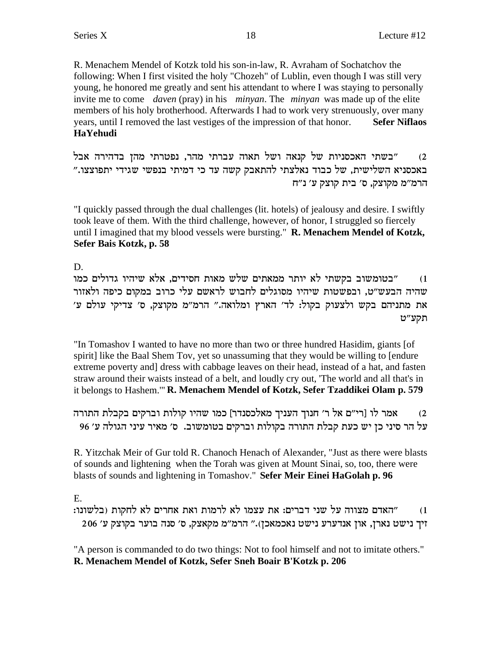R. Menachem Mendel of Kotzk told his son-in-law, R. Avraham of Sochatchov the following: When I first visited the holy "Chozeh" of Lublin, even though I was still very young, he honored me greatly and sent his attendant to where I was staying to personally invite me to come *daven* (pray) in his *minyan*. The *minyan* was made up of the elite members of his holy brotherhood. Afterwards I had to work very strenuously, over many years, until I removed the last vestiges of the impression of that honor. **Sefer Niflaos HaYehudi**

la` dxidca odn izxhtp ,xdn izxar de`z lye d`pw ly zeipqk`d izya" (2 באכסניא השלישית, של כבוד נאלצתי להתאבק קשה עד כי דמיתי בנפשי שגידי יתפוצצו." הרמ"מ מקוצק, ס' בית קוצק ע' נ"ח

"I quickly passed through the dual challenges (lit. hotels) of jealousy and desire. I swiftly took leave of them. With the third challenge, however, of honor, I struggled so fiercely until I imagined that my blood vessels were bursting." **R. Menachem Mendel of Kotzk, Sefer Bais Kotzk, p. 58**

D.

בטומשוב בקשתי לא יותר ממאתים שלש מאות חסידים, אלא שיהיו גדולים כמו"  $\alpha$ שהיה הבעש"ט, ובפשטות שיהיו מסוגלים לחבוש לראשם עלי כרוב במקום כיפה ולאזור 'את מתניהם בקש ולצעוק בקול: לד' הארץ ומלואה." הרמ"מ מקוצק, ס' צדיקי עולם ע תקע״ט

"In Tomashov I wanted to have no more than two or three hundred Hasidim, giants [of spirit] like the Baal Shem Tov, yet so unassuming that they would be willing to [endure extreme poverty and] dress with cabbage leaves on their head, instead of a hat, and fasten straw around their waists instead of a belt, and loudly cry out, 'The world and all that's in it belongs to Hashem.'" **R. Menachem Mendel of Kotzk, Sefer Tzaddikei Olam p. 579**

מאר לו [רי"ם אל ר' חנוך העניך מאלכסנדר] כמו שהיו קולות וברקים בקבלת התורה (2 על הר סיני כן יש כעת קבלת התורה בקולות וברקים בטומשוב. ס׳ מאיר עיני הגולה ע׳ 96

R. Yitzchak Meir of Gur told R. Chanoch Henach of Alexander, "Just as there were blasts of sounds and lightening when the Torah was given at Mount Sinai, so, too, there were blasts of sounds and lightening in Tomashov." **Sefer Meir Einei HaGolah p. 96**

E.

:ו) אהאדם מצווה על שני דברים: את עצמו לא לרמות ואת אחרים לא לחקות (בלשונו  $206$  'זיך נישט נארן, און אנדערע נישט נאכמאכן)." הרמ"מ מקאצק, ס' סנה בוער בקוצק ע

"A person is commanded to do two things: Not to fool himself and not to imitate others." **R. Menachem Mendel of Kotzk, Sefer Sneh Boair B'Kotzk p. 206**